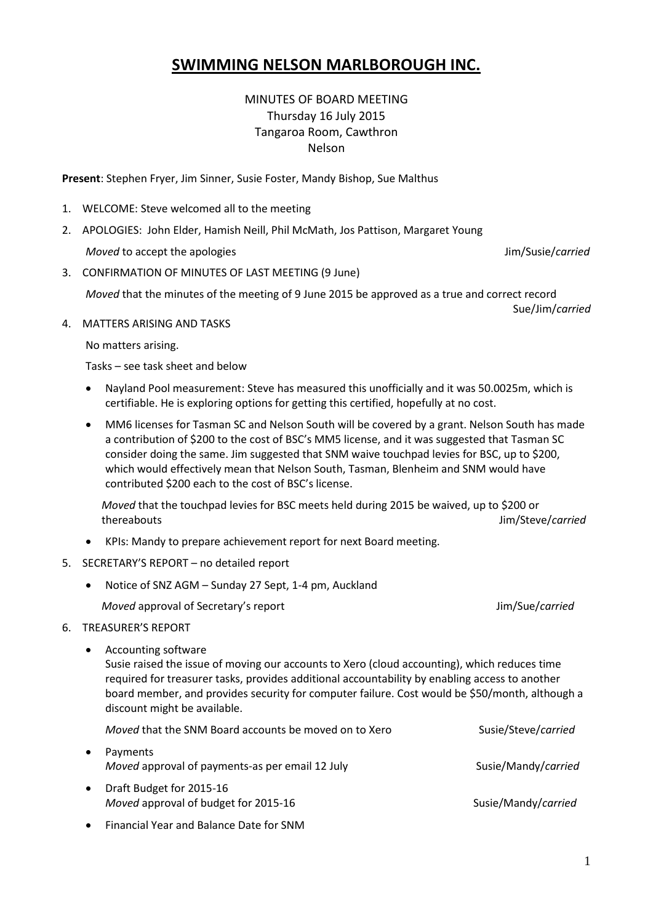# **SWIMMING NELSON MARLBOROUGH INC.**

MINUTES OF BOARD MEETING Thursday 16 July 2015 Tangaroa Room, Cawthron Nelson

**Present**: Stephen Fryer, Jim Sinner, Susie Foster, Mandy Bishop, Sue Malthus

- 1. WELCOME: Steve welcomed all to the meeting
- 2. APOLOGIES: John Elder, Hamish Neill, Phil McMath, Jos Pattison, Margaret Young *Moved* to accept the apologies Jim/Susie/*carried*
- 3. CONFIRMATION OF MINUTES OF LAST MEETING (9 June)

*Moved* that the minutes of the meeting of 9 June 2015 be approved as a true and correct record

4. MATTERS ARISING AND TASKS

No matters arising.

Tasks – see task sheet and below

- Nayland Pool measurement: Steve has measured this unofficially and it was 50.0025m, which is certifiable. He is exploring options for getting this certified, hopefully at no cost.
- MM6 licenses for Tasman SC and Nelson South will be covered by a grant. Nelson South has made a contribution of \$200 to the cost of BSC's MM5 license, and it was suggested that Tasman SC consider doing the same. Jim suggested that SNM waive touchpad levies for BSC, up to \$200, which would effectively mean that Nelson South, Tasman, Blenheim and SNM would have contributed \$200 each to the cost of BSC's license.

*Moved* that the touchpad levies for BSC meets held during 2015 be waived, up to \$200 or thereabouts Jim/Steve/*carried*

- KPIs: Mandy to prepare achievement report for next Board meeting.
- 5. SECRETARY'S REPORT no detailed report
	- Notice of SNZ AGM Sunday 27 Sept, 1-4 pm, Auckland

*Moved* approval of Secretary's report Jim/Sue/*carried*

- 6. TREASURER'S REPORT
	- Accounting software

Susie raised the issue of moving our accounts to Xero (cloud accounting), which reduces time required for treasurer tasks, provides additional accountability by enabling access to another board member, and provides security for computer failure. Cost would be \$50/month, although a discount might be available.

|           | Moved that the SNM Board accounts be moved on to Xero            | Susie/Steve/carried |
|-----------|------------------------------------------------------------------|---------------------|
| $\bullet$ | Payments<br>Moved approval of payments-as per email 12 July      | Susie/Mandy/carried |
| $\bullet$ | Draft Budget for 2015-16<br>Moved approval of budget for 2015-16 | Susie/Mandy/carried |

Financial Year and Balance Date for SNM

Sue/Jim/*carried*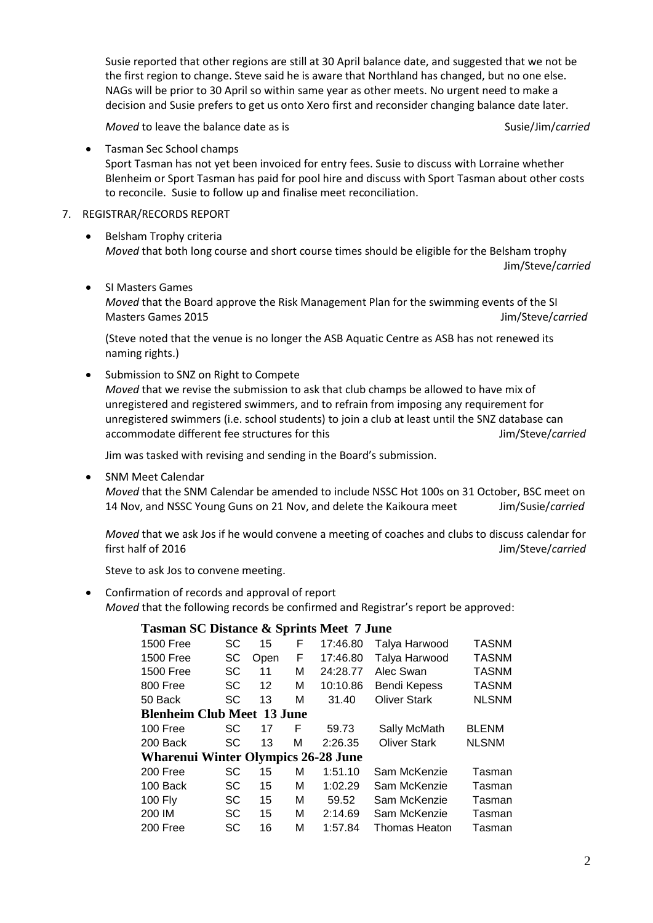Susie reported that other regions are still at 30 April balance date, and suggested that we not be the first region to change. Steve said he is aware that Northland has changed, but no one else. NAGs will be prior to 30 April so within same year as other meets. No urgent need to make a decision and Susie prefers to get us onto Xero first and reconsider changing balance date later.

*Moved* to leave the balance date as is Susie/Jim/*carried* and the susie/Jim/*carried* 

Jim/Steve/*carried*

Tasman Sec School champs

Sport Tasman has not yet been invoiced for entry fees. Susie to discuss with Lorraine whether Blenheim or Sport Tasman has paid for pool hire and discuss with Sport Tasman about other costs to reconcile. Susie to follow up and finalise meet reconciliation.

- 7. REGISTRAR/RECORDS REPORT
	- Belsham Trophy criteria *Moved* that both long course and short course times should be eligible for the Belsham trophy
	- SI Masters Games *Moved* that the Board approve the Risk Management Plan for the swimming events of the SI Masters Games 2015 Jim/Steve/*carried*

(Steve noted that the venue is no longer the ASB Aquatic Centre as ASB has not renewed its naming rights.)

• Submission to SNZ on Right to Compete *Moved* that we revise the submission to ask that club champs be allowed to have mix of unregistered and registered swimmers, and to refrain from imposing any requirement for unregistered swimmers (i.e. school students) to join a club at least until the SNZ database can accommodate different fee structures for this **Accommodate different** fee structures for this

Jim was tasked with revising and sending in the Board's submission.

SNM Meet Calendar

*Moved* that the SNM Calendar be amended to include NSSC Hot 100s on 31 October, BSC meet on 14 Nov, and NSSC Young Guns on 21 Nov, and delete the Kaikoura meet Jim/Susie/*carried*

*Moved* that we ask Jos if he would convene a meeting of coaches and clubs to discuss calendar for first half of 2016 and 100 and 100 and 100 and 100 and 100 and 100 and 100 and 100 and 100 and 100 and 100 and 100 and 100 and 100 and 100 and 100 and 100 and 100 and 100 and 100 and 100 and 100 and 100 and 100 and 100 and

Steve to ask Jos to convene meeting.

 Confirmation of records and approval of report *Moved* that the following records be confirmed and Registrar's report be approved:

### **Tasman SC Distance & Sprints Meet 7 June**

| <b>1500 Free</b>                           | SC        | 15   | F | 17:46.80 | Talya Harwood        | <b>TASNM</b> |  |  |  |
|--------------------------------------------|-----------|------|---|----------|----------------------|--------------|--|--|--|
| <b>1500 Free</b>                           | SC        | Open | F | 17:46.80 | Talya Harwood        | <b>TASNM</b> |  |  |  |
| 1500 Free                                  | SC        | 11   | М | 24:28.77 | Alec Swan            | <b>TASNM</b> |  |  |  |
| 800 Free                                   | <b>SC</b> | 12   | М | 10:10.86 | <b>Bendi Kepess</b>  | <b>TASNM</b> |  |  |  |
| 50 Back                                    | SC        | 13   | м | 31.40    | <b>Oliver Stark</b>  | <b>NLSNM</b> |  |  |  |
| <b>Blenheim Club Meet 13 June</b>          |           |      |   |          |                      |              |  |  |  |
| 100 Free                                   | SC        | 17   | F | 59.73    | Sally McMath         | <b>BLENM</b> |  |  |  |
| 200 Back                                   | SC        | 13   | М | 2:26.35  | <b>Oliver Stark</b>  | <b>NLSNM</b> |  |  |  |
| <b>Wharenui Winter Olympics 26-28 June</b> |           |      |   |          |                      |              |  |  |  |
| 200 Free                                   | SC        | 15   | М | 1:51.10  | Sam McKenzie         | Tasman       |  |  |  |
| 100 Back                                   | SC        | 15   | М | 1:02.29  | Sam McKenzie         | Tasman       |  |  |  |
| <b>100 Fly</b>                             | SC        | 15   | м | 59.52    | Sam McKenzie         | Tasman       |  |  |  |
| 200 IM                                     | SC        | 15   | М | 2:14.69  | Sam McKenzie         | Tasman       |  |  |  |
| 200 Free                                   | SC        | 16   | М | 1:57.84  | <b>Thomas Heaton</b> | Tasman       |  |  |  |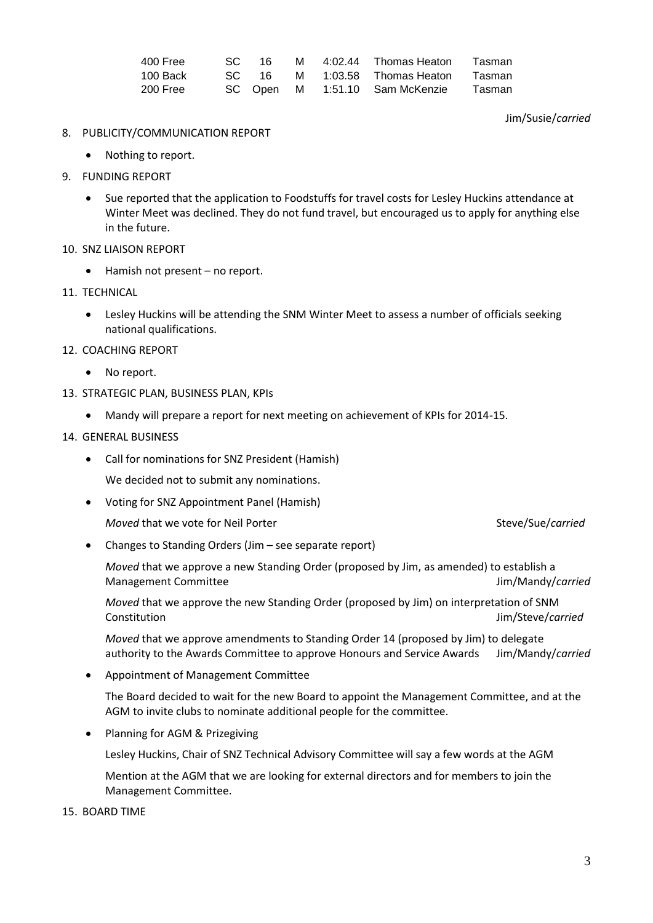| 400 Free | SC. | ୀ6        |  | M 4:02.44 Thomas Heaton        | Tasman |
|----------|-----|-----------|--|--------------------------------|--------|
| 100 Back |     | $SC = 16$ |  | M 1:03.58 Thomas Heaton        | Tasman |
| 200 Free |     |           |  | SC Open M 1:51.10 Sam McKenzie | Tasman |

#### Jim/Susie/*carried*

- 8. PUBLICITY/COMMUNICATION REPORT
	- Nothing to report.
- 9. FUNDING REPORT
	- Sue reported that the application to Foodstuffs for travel costs for Lesley Huckins attendance at Winter Meet was declined. They do not fund travel, but encouraged us to apply for anything else in the future.
- 10. SNZ LIAISON REPORT
	- Hamish not present no report.
- 11. TECHNICAL
	- Lesley Huckins will be attending the SNM Winter Meet to assess a number of officials seeking national qualifications.
- 12. COACHING REPORT
	- No report.
- 13. STRATEGIC PLAN, BUSINESS PLAN, KPIs
	- Mandy will prepare a report for next meeting on achievement of KPIs for 2014-15.

#### 14. GENERAL BUSINESS

Call for nominations for SNZ President (Hamish)

We decided not to submit any nominations.

Voting for SNZ Appointment Panel (Hamish)

*Moved* that we vote for Neil Porter Steve/Sue/*carried* Steve/Sue/*carried* 

Changes to Standing Orders (Jim – see separate report)

*Moved* that we approve a new Standing Order (proposed by Jim, as amended) to establish a Management Committee Jim/Mandy/*carried*

*Moved* that we approve the new Standing Order (proposed by Jim) on interpretation of SNM Constitution Jim/Steve/*carried*

*Moved* that we approve amendments to Standing Order 14 (proposed by Jim) to delegate authority to the Awards Committee to approve Honours and Service Awards Jim/Mandy/*carried*

Appointment of Management Committee

The Board decided to wait for the new Board to appoint the Management Committee, and at the AGM to invite clubs to nominate additional people for the committee.

Planning for AGM & Prizegiving

Lesley Huckins, Chair of SNZ Technical Advisory Committee will say a few words at the AGM

Mention at the AGM that we are looking for external directors and for members to join the Management Committee.

15. BOARD TIME

3